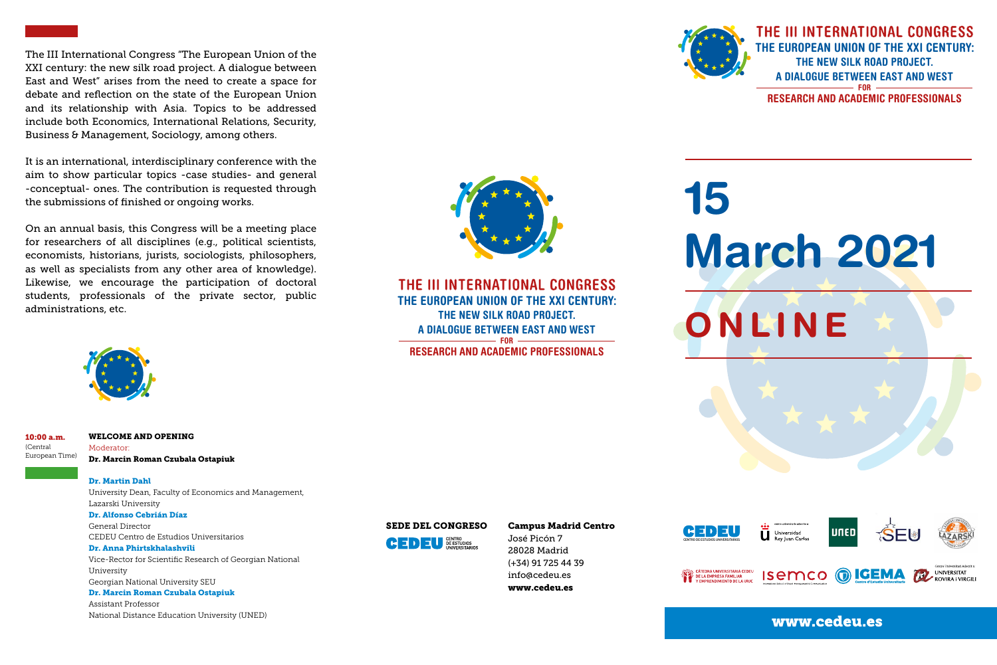The III International Congress "The European Union of the XXI century: the new silk road project. A dialogue between East and West" arises from the need to create a space for debate and reflection on the state of the European Union and its relationship with Asia. Topics to be addressed include both Economics, International Relations, Security, Business & Management, Sociology, among others.

It is an international, interdisciplinary conference with the aim to show particular topics -case studies- and general -conceptual- ones. The contribution is requested through the submissions of finished or ongoing works.

On an annual basis, this Congress will be a meeting place for researchers of all disciplines (e.g., political scientists, economists, historians, jurists, sociologists, philosophers, as well as specialists from any other area of knowledge). Likewise, we encourage the participation of doctoral students, professionals of the private sector, public administrations, etc.



#### WELCOME AND OPENING 10:00 a.m.

Moderator: Dr. Marcin Roman Czubala Ostapiuk

Dr. Martin Dahl

(Central European Time)

> University Dean, Faculty of Economics and Management, Lazarski University

Dr. Alfonso Cebrián Díaz General Director CEDEU Centro de Estudios Universitarios

Dr. Anna Phirtskhalashvili Vice-Rector for Scientific Research of Georgian National University Georgian National University SEU

# Dr. Marcin Roman Czubala Ostapiuk

Assistant Professor National Distance Education University (UNED)

# SEDE DEL CONGRESO Campus Madrid Centro



José Picón 7 28028 Madrid (+34) 91 725 44 39 info@cedeu.es www.cedeu.es



L CÁTEDRA UNIVERSITARIA CEDEL<br>A DE LA EMPRESA FAMILIAR<br>LY EMPRENDIMIENTO DE LA URIC



**ISEMCO** 



**INVERSITAT** 

 $\left( \frac{1}{2} \right)$ 

www.cedeu.es

**O**IGEMA



THE III INTERNATIONAL CONGRESS **THE EUROPEAN UNION OF THE XXI CENTURY: THE NEW SILK ROAD PROJECT. A DIALOGUE BETWEEN EAST AND WEST FOR RESEARCH AND ACADEMIC PROFESSIONALS**



**ONLINE**

THE III INTERNATIONAL CONGRESS **THE EUROPEAN UNION OF THE XXI CENTURY: THE NEW SILK ROAD PROJECT. A DIALOGUE BETWEEN EAST AND WEST FOR RESEARCH AND ACADEMIC PROFESSIONALS**